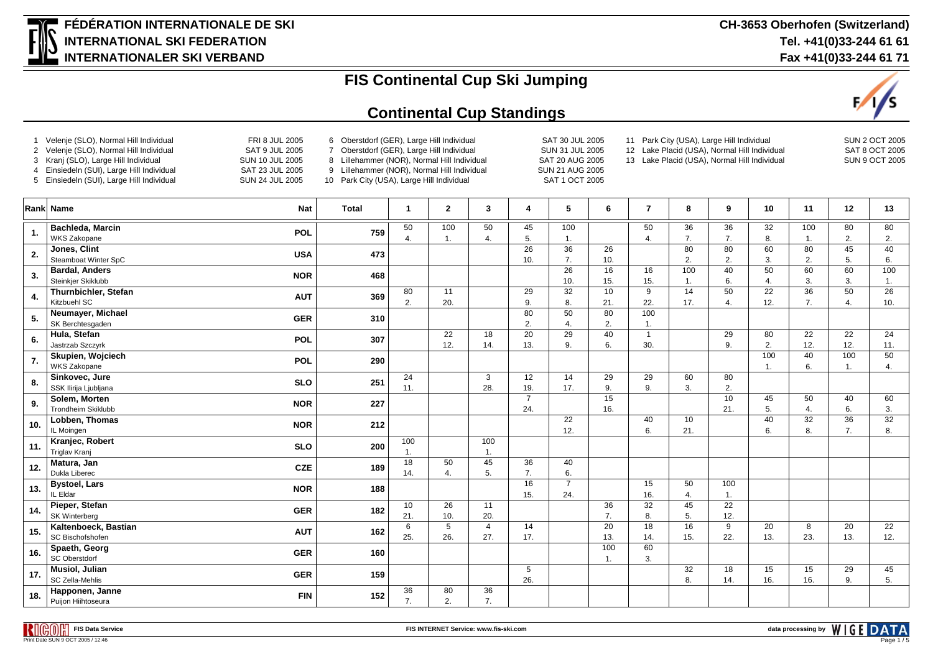

#### **Continental Cup Standings**



| $\overline{2}$<br>3<br>4 | Velenje (SLO), Normal Hill Individual<br>Velenje (SLO), Normal Hill Individual<br>Kranj (SLO), Large Hill Individual<br>Einsiedeln (SUI), Large Hill Individual<br>5 Einsiedeln (SUI), Large Hill Individual | FRI 8 JUL 2005<br><b>SAT 9 JUL 2005</b><br><b>SUN 10 JUL 2005</b><br>SAT 23 JUL 2005<br><b>SUN 24 JUL 2005</b> | 6 Oberstdorf (GER), Large Hill Individual<br>Oberstdorf (GER), Large Hill Individual<br>$\overline{7}$<br>8 Lillehammer (NOR), Normal Hill Individual<br>9 Lillehammer (NOR), Normal Hill Individual<br>10 Park City (USA), Large Hill Individual |                        |                       |                       |                       | SAT 30 JUL 2005<br>11 Park City (USA), Large Hill Individual<br>12 Lake Placid (USA), Normal Hill Individual<br>SUN 31 JUL 2005<br>SAT 20 AUG 2005<br>13 Lake Placid (USA), Normal Hill Individual<br>SUN 21 AUG 2005<br>SAT 1 OCT 2005 |                        |                     |           |                        |           |                        |           | SUN 2 OCT 2005<br>SAT 8 OCT 2005<br><b>SUN 9 OCT 2005</b> |  |  |
|--------------------------|--------------------------------------------------------------------------------------------------------------------------------------------------------------------------------------------------------------|----------------------------------------------------------------------------------------------------------------|---------------------------------------------------------------------------------------------------------------------------------------------------------------------------------------------------------------------------------------------------|------------------------|-----------------------|-----------------------|-----------------------|-----------------------------------------------------------------------------------------------------------------------------------------------------------------------------------------------------------------------------------------|------------------------|---------------------|-----------|------------------------|-----------|------------------------|-----------|-----------------------------------------------------------|--|--|
|                          | Rank Name                                                                                                                                                                                                    | <b>Nat</b>                                                                                                     | <b>Total</b>                                                                                                                                                                                                                                      | $\mathbf{1}$           | $\overline{2}$        | 3                     | 4                     | 5                                                                                                                                                                                                                                       | 6                      | $\overline{7}$      | 8         | 9                      | 10        | 11                     | 12        | 13                                                        |  |  |
| -1.                      | Bachleda, Marcin<br>WKS Zakopane                                                                                                                                                                             | POL                                                                                                            | 759                                                                                                                                                                                                                                               | 50<br>$\overline{4}$ . | 100<br>$\mathbf{1}$ . | 50<br>4.              | 45<br>5.              | 100<br>1.                                                                                                                                                                                                                               |                        | 50<br>4.            | 36<br>7.  | 36<br>$\overline{7}$ . | 32<br>8.  | 100<br>$\mathbf{1}$    | 80<br>2.  | 80<br>2.                                                  |  |  |
| $\overline{2}$           | Jones, Clint<br>Steamboat Winter SpC                                                                                                                                                                         | <b>USA</b>                                                                                                     | 473                                                                                                                                                                                                                                               |                        |                       |                       | 26<br>10.             | $\overline{36}$<br>7.                                                                                                                                                                                                                   | 26<br>10.              |                     | 80<br>2.  | 80<br>2.               | 60<br>3.  | 80<br>2.               | 45<br>5.  | 40<br>6.                                                  |  |  |
| 3.                       | <b>Bardal, Anders</b><br>Steinkjer Skiklubb                                                                                                                                                                  | <b>NOR</b>                                                                                                     | 468                                                                                                                                                                                                                                               |                        |                       |                       |                       | 26<br>10.                                                                                                                                                                                                                               | 16<br>15.              | 16<br>15.           | 100<br>1. | 40<br>6.               | 50<br>4.  | 60<br>3.               | 60<br>3.  | 100<br>$\mathbf{1}$ .                                     |  |  |
| 4.                       | Thurnbichler, Stefan<br>Kitzbuehl SC                                                                                                                                                                         | <b>AUT</b>                                                                                                     | 369                                                                                                                                                                                                                                               | 80<br>2.               | 11<br>20.             |                       | 29<br>9.              | 32<br>8.                                                                                                                                                                                                                                | 10<br>21.              | 9<br>22.            | 14<br>17. | 50<br>4.               | 22<br>12. | 36<br>7.               | 50<br>4.  | 26<br>10.                                                 |  |  |
| 5.                       | Neumayer, Michael<br>SK Berchtesgaden                                                                                                                                                                        | <b>GER</b>                                                                                                     | 310                                                                                                                                                                                                                                               |                        |                       |                       | 80<br>2.              | 50<br>$\overline{4}$ .                                                                                                                                                                                                                  | 80<br>2.               | 100<br>1.           |           |                        |           |                        |           |                                                           |  |  |
| 6.                       | Hula, Stefan<br>Jastrzab Szczyrk                                                                                                                                                                             | <b>POL</b>                                                                                                     | 307                                                                                                                                                                                                                                               |                        | 22<br>12.             | 18<br>14.             | 20<br>13.             | 29<br>9.                                                                                                                                                                                                                                | 40<br>6.               | $\mathbf{1}$<br>30. |           | 29<br>9.               | 80<br>2.  | 22<br>12.              | 22<br>12. | 24<br>11.                                                 |  |  |
| 7.                       | Skupien, Wojciech<br>WKS Zakopane                                                                                                                                                                            | POL                                                                                                            | 290                                                                                                                                                                                                                                               |                        |                       |                       |                       |                                                                                                                                                                                                                                         |                        |                     |           |                        | 100<br>1. | 40<br>6.               | 100<br>1. | 50<br>4.                                                  |  |  |
| 8.                       | Sinkovec, Jure<br>SSK Ilirija Ljubljana                                                                                                                                                                      | <b>SLO</b>                                                                                                     | 251                                                                                                                                                                                                                                               | 24<br>11.              |                       | 3<br>28.              | 12<br>19.             | 14<br>17.                                                                                                                                                                                                                               | 29<br>9.               | 29<br>9.            | 60<br>3.  | 80<br>2.               |           |                        |           |                                                           |  |  |
| 9.                       | Solem, Morten<br>Trondheim Skiklubb                                                                                                                                                                          | <b>NOR</b>                                                                                                     | 227                                                                                                                                                                                                                                               |                        |                       |                       | $\overline{7}$<br>24. |                                                                                                                                                                                                                                         | 15<br>16.              |                     |           | 10<br>21.              | 45<br>5.  | 50<br>$\overline{4}$ . | 40<br>6.  | 60<br>3.                                                  |  |  |
| 10.                      | Lobben. Thomas<br>IL Moingen                                                                                                                                                                                 | <b>NOR</b>                                                                                                     | 212                                                                                                                                                                                                                                               |                        |                       |                       |                       | 22<br>12.                                                                                                                                                                                                                               |                        | 40<br>6.            | 10<br>21. |                        | 40<br>6.  | 32<br>8.               | 36<br>7.  | 32<br>8.                                                  |  |  |
| 11                       | Kranjec, Robert<br>Triglav Kranj                                                                                                                                                                             | <b>SLO</b>                                                                                                     | 200                                                                                                                                                                                                                                               | 100<br>1.              |                       | 100<br>$\overline{1}$ |                       |                                                                                                                                                                                                                                         |                        |                     |           |                        |           |                        |           |                                                           |  |  |
| 12.                      | Matura, Jan<br>Dukla Liberec                                                                                                                                                                                 | <b>CZE</b>                                                                                                     | 189                                                                                                                                                                                                                                               | $\overline{18}$<br>14. | 50<br>4.              | 45<br>5.              | 36<br>7.              | 40<br>6.                                                                                                                                                                                                                                |                        |                     |           |                        |           |                        |           |                                                           |  |  |
| 13.                      | <b>Bystoel, Lars</b><br>IL Eldar                                                                                                                                                                             | <b>NOR</b>                                                                                                     | 188                                                                                                                                                                                                                                               |                        |                       |                       | 16<br>15.             | $\overline{7}$<br>24.                                                                                                                                                                                                                   |                        | 15<br>16.           | 50<br>4.  | 100<br>1.              |           |                        |           |                                                           |  |  |
| 14.                      | Pieper, Stefan<br>SK Winterberg                                                                                                                                                                              | <b>GER</b>                                                                                                     | 182                                                                                                                                                                                                                                               | 10<br>21.              | 26<br>10.             | 11<br>20.             |                       |                                                                                                                                                                                                                                         | 36<br>7.               | 32<br>8.            | 45<br>5.  | 22<br>12.              |           |                        |           |                                                           |  |  |
| 15.                      | Kaltenboeck, Bastian<br>SC Bischofshofen                                                                                                                                                                     | <b>AUT</b>                                                                                                     | 162                                                                                                                                                                                                                                               | 6<br>25.               | 5<br>26.              | $\overline{4}$<br>27. | 14<br>17.             |                                                                                                                                                                                                                                         | $\overline{20}$<br>13. | 18<br>14.           | 16<br>15. | 9<br>22.               | 20<br>13. | 8<br>23.               | 20<br>13. | $\overline{22}$<br>12.                                    |  |  |
| 16.                      | Spaeth, Georg<br><b>SC Oberstdorf</b>                                                                                                                                                                        | <b>GER</b>                                                                                                     | 160                                                                                                                                                                                                                                               |                        |                       |                       |                       |                                                                                                                                                                                                                                         | 100<br>1.              | 60<br>3.            |           |                        |           |                        |           |                                                           |  |  |
| 17.                      | <b>Musiol, Julian</b><br>SC Zella-Mehlis                                                                                                                                                                     | <b>GER</b>                                                                                                     | 159                                                                                                                                                                                                                                               |                        |                       |                       | 5<br>26.              |                                                                                                                                                                                                                                         |                        |                     | 32<br>8.  | 18<br>14.              | 15<br>16. | 15<br>16.              | 29<br>9.  | 45<br>5.                                                  |  |  |
| 18.                      | Happonen, Janne<br>Puijon Hiihtoseura                                                                                                                                                                        | <b>FIN</b>                                                                                                     | 152                                                                                                                                                                                                                                               | 36<br>7.               | 80<br>2.              | 36<br>7.              |                       |                                                                                                                                                                                                                                         |                        |                     |           |                        |           |                        |           |                                                           |  |  |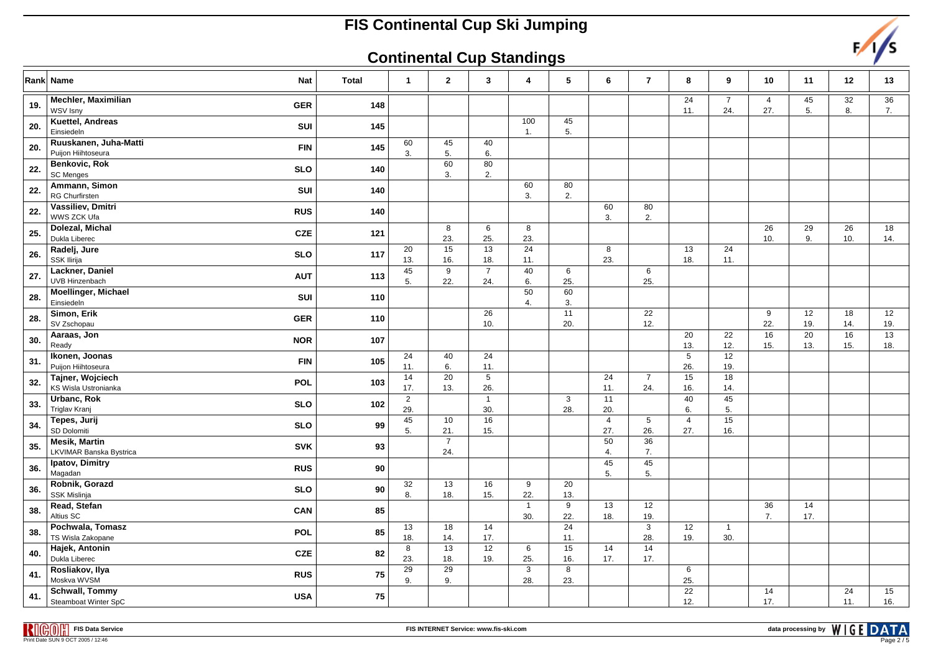### **Continental Cup Standings**



|     | Rank Name<br><b>Nat</b>                                       | <b>Total</b> | $\mathbf{1}$          | $\mathbf{2}$          | 3                      | 4                   | 5                   | 6                     | $\bf 7$               | 8                      | 9                     | 10                    | 11                     | 12        | 13        |
|-----|---------------------------------------------------------------|--------------|-----------------------|-----------------------|------------------------|---------------------|---------------------|-----------------------|-----------------------|------------------------|-----------------------|-----------------------|------------------------|-----------|-----------|
| 19. | <b>Mechler, Maximilian</b><br><b>GER</b><br>WSV Isny          | 148          |                       |                       |                        |                     |                     |                       |                       | 24<br>11.              | $\overline{7}$<br>24. | $\overline{4}$<br>27. | 45<br>5.               | 32<br>8.  | 36<br>7.  |
| 20. | Kuettel, Andreas<br>SUI<br>Einsiedeln                         | 145          |                       |                       |                        | 100<br>1.           | 45<br>5.            |                       |                       |                        |                       |                       |                        |           |           |
| 20. | Ruuskanen, Juha-Matti<br><b>FIN</b><br>Puijon Hiihtoseura     | 145          | 60<br>3.              | 45<br>5.              | 40<br>6.               |                     |                     |                       |                       |                        |                       |                       |                        |           |           |
| 22. | Benkovic, Rok<br><b>SLO</b><br><b>SC Menges</b>               | 140          |                       | 60<br>3.              | 80<br>2.               |                     |                     |                       |                       |                        |                       |                       |                        |           |           |
| 22. | Ammann, Simon<br>SUI<br><b>RG Churfirsten</b>                 | 140          |                       |                       |                        | 60<br>3.            | 80<br>2.            |                       |                       |                        |                       |                       |                        |           |           |
| 22. | Vassiliev, Dmitri<br><b>RUS</b><br>WWS ZCK Ufa                | 140          |                       |                       |                        |                     |                     | 60<br>3.              | 80<br>2.              |                        |                       |                       |                        |           |           |
| 25. | Dolezal, Michal<br><b>CZE</b><br>Dukla Liberec                | 121          |                       | 8<br>23.              | 6<br>25.               | 8<br>23.            |                     |                       |                       |                        |                       | 26<br>10.             | 29<br>9.               | 26<br>10. | 18<br>14. |
| 26. | Radelj, Jure<br><b>SLO</b><br>SSK Ilirija                     | 117          | 20<br>13.             | 15<br>16.             | 13<br>18.              | 24<br>11.           |                     | 8<br>23.              |                       | 13<br>18.              | 24<br>11.             |                       |                        |           |           |
| 27. | Lackner, Daniel<br><b>AUT</b><br><b>UVB Hinzenbach</b>        | 113          | 45<br>5.              | 9<br>22.              | $\overline{7}$<br>24.  | 40<br>6.            | 6<br>25.            |                       | 6<br>25.              |                        |                       |                       |                        |           |           |
| 28. | <b>Moellinger, Michael</b><br>SUI<br>Einsiedeln               | 110          |                       |                       |                        | 50<br>4.            | 60<br>3.            |                       |                       |                        |                       |                       |                        |           |           |
| 28. | Simon, Erik<br><b>GER</b><br>SV Zschopau                      | 110          |                       |                       | 26<br>10.              |                     | 11<br>20.           |                       | 22<br>12.             |                        |                       | 9<br>22.              | 12<br>19.              | 18<br>14. | 12<br>19. |
| 30. | Aaraas, Jon<br><b>NOR</b><br>Ready                            | 107          |                       |                       |                        |                     |                     |                       |                       | 20<br>13.              | 22<br>12.             | 16<br>15.             | $\overline{20}$<br>13. | 16<br>15. | 13<br>18. |
| 31. | Ikonen, Joonas<br><b>FIN</b><br>Puijon Hiihtoseura            | 105          | 24<br>11.             | 40<br>6.              | 24<br>11.              |                     |                     |                       |                       | $5\phantom{.0}$<br>26. | 12<br>19.             |                       |                        |           |           |
| 32. | Tajner, Wojciech<br>POL<br><b>KS Wisla Ustronianka</b>        | 103          | 14<br>17.             | 20<br>13.             | $5\phantom{.0}$<br>26. |                     |                     | 24<br>11.             | $\overline{7}$<br>24. | 15<br>16.              | 18<br>14.             |                       |                        |           |           |
| 33. | Urbanc, Rok<br><b>SLO</b><br><b>Triglav Kranj</b>             | 102          | $\overline{2}$<br>29. |                       | $\mathbf{1}$<br>30.    |                     | $\mathbf{3}$<br>28. | 11<br>20.             |                       | 40<br>6.               | 45<br>5.              |                       |                        |           |           |
| 34. | Tepes, Jurij<br><b>SLO</b><br>SD Dolomiti                     | 99           | 45<br>5.              | 10<br>21.             | 16<br>15.              |                     |                     | $\overline{4}$<br>27. | 5<br>26.              | $\overline{4}$<br>27.  | 15<br>16.             |                       |                        |           |           |
| 35. | <b>Mesik, Martin</b><br><b>SVK</b><br>LKVIMAR Banska Bystrica | 93           |                       | $\overline{7}$<br>24. |                        |                     |                     | 50<br>4.              | 36<br>7.              |                        |                       |                       |                        |           |           |
| 36. | Ipatov, Dimitry<br><b>RUS</b><br>Magadan                      | 90           |                       |                       |                        |                     |                     | 45<br>5.              | 45<br>5.              |                        |                       |                       |                        |           |           |
| 36. | Robnik, Gorazd<br><b>SLO</b><br><b>SSK Mislinja</b>           | 90           | 32<br>8.              | 13<br>18.             | 16<br>15.              | 9<br>22.            | 20<br>13.           |                       |                       |                        |                       |                       |                        |           |           |
| 38. | Read, Stefan<br>CAN<br>Altius SC                              | 85           |                       |                       |                        | $\mathbf{1}$<br>30. | 9<br>22.            | 13<br>18.             | 12<br>19.             |                        |                       | 36<br>7.              | 14<br>17.              |           |           |
| 38. | Pochwala, Tomasz<br>POL<br>TS Wisla Zakopane                  | 85           | 13<br>18.             | 18<br>14.             | 14<br>17.              |                     | 24<br>11.           |                       | 3<br>28.              | 12<br>19.              | $\mathbf{1}$<br>30.   |                       |                        |           |           |
| 40. | Hajek, Antonin<br><b>CZE</b><br>Dukla Liberec                 | 82           | 8<br>23.              | 13<br>18.             | 12<br>19.              | 6<br>25.            | 15<br>16.           | 14<br>17.             | 14<br>17.             |                        |                       |                       |                        |           |           |
| 41. | Rosliakov, Ilya<br><b>RUS</b><br>Moskva WVSM                  | 75           | 29<br>9.              | 29<br>9.              |                        | 3<br>28.            | 8<br>23.            |                       |                       | 6<br>25.               |                       |                       |                        |           |           |
| 41. | <b>Schwall, Tommy</b><br><b>USA</b><br>Steamboat Winter SpC   | 75           |                       |                       |                        |                     |                     |                       |                       | 22<br>12.              |                       | 14<br>17.             |                        | 24<br>11. | 15<br>16. |

**FIS Data Service**וצוו **Print Date SUN 9 OCT 2005 / 12:46**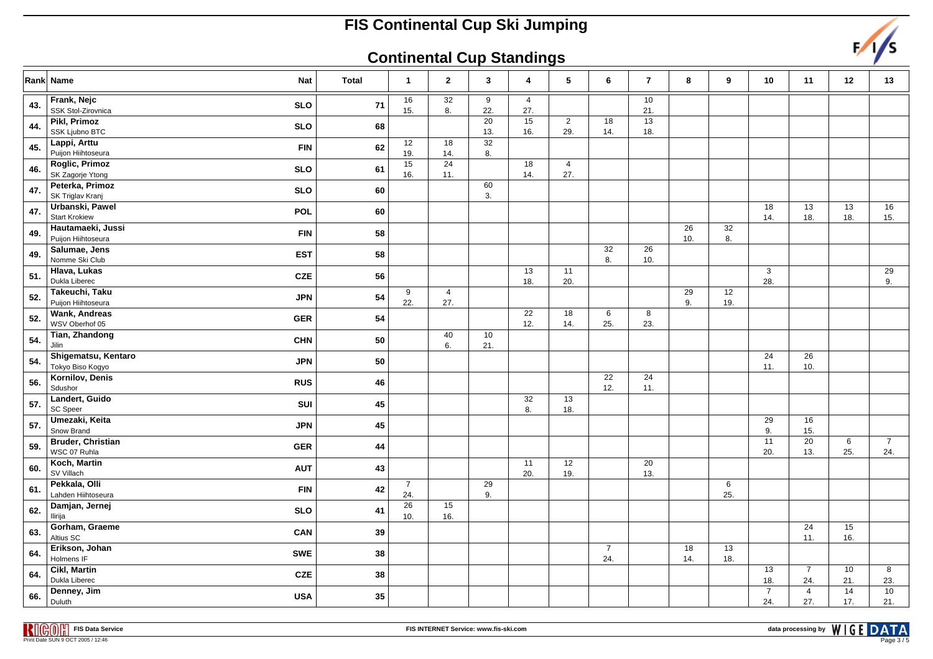### **Continental Cup Standings**



|     | Rank│ Name<br>Nat                                      | <b>Total</b> | $\mathbf{1}$          | $\mathbf 2$            | 3                      | 4                     | 5                     | 6                      | $\overline{7}$         | 8         | 9                      | 10                    | 11                     | $12$      | 13                    |
|-----|--------------------------------------------------------|--------------|-----------------------|------------------------|------------------------|-----------------------|-----------------------|------------------------|------------------------|-----------|------------------------|-----------------------|------------------------|-----------|-----------------------|
| 43. | Frank, Nejc<br><b>SLO</b><br>SSK Stol-Zirovnica        | 71           | 16<br>15.             | 32<br>8.               | 9<br>22.               | $\overline{4}$<br>27. |                       |                        | 10<br>21.              |           |                        |                       |                        |           |                       |
| 44. | <b>Pikl, Primoz</b><br><b>SLO</b><br>SSK Ljubno BTC    | 68           |                       |                        | $\overline{20}$<br>13. | 15<br>16.             | $\overline{2}$<br>29. | 18<br>14.              | $\overline{13}$<br>18. |           |                        |                       |                        |           |                       |
| 45. | Lappi, Arttu<br><b>FIN</b><br>Puijon Hiihtoseura       | 62           | 12<br>19.             | 18<br>14.              | 32<br>8.               |                       |                       |                        |                        |           |                        |                       |                        |           |                       |
| 46. | Roglic, Primoz<br><b>SLO</b><br>SK Zagorje Ytong       | 61           | 15<br>16.             | $\overline{24}$<br>11. |                        | 18<br>14.             | $\overline{4}$<br>27. |                        |                        |           |                        |                       |                        |           |                       |
| 47. | Peterka, Primoz<br><b>SLO</b><br>SK Triglav Kranj      | 60           |                       |                        | 60<br>3.               |                       |                       |                        |                        |           |                        |                       |                        |           |                       |
| 47. | Urbanski, Pawel<br><b>POL</b><br><b>Start Krokiew</b>  | 60           |                       |                        |                        |                       |                       |                        |                        |           |                        | 18<br>14.             | 13<br>18.              | 13<br>18. | 16<br>15.             |
| 49. | Hautamaeki, Jussi<br><b>FIN</b><br>Puijon Hiihtoseura  | 58           |                       |                        |                        |                       |                       |                        |                        | 26<br>10. | 32<br>8.               |                       |                        |           |                       |
| 49. | Salumae, Jens<br><b>EST</b><br>Nomme Ski Club          | 58           |                       |                        |                        |                       |                       | 32<br>8.               | 26<br>10.              |           |                        |                       |                        |           |                       |
| 51. | Hlava, Lukas<br><b>CZE</b><br>Dukla Liberec            | 56           |                       |                        |                        | 13<br>18.             | 11<br>20.             |                        |                        |           |                        | 3<br>28.              |                        |           | 29<br>9.              |
| 52. | Takeuchi, Taku<br><b>JPN</b><br>Puijon Hiihtoseura     | 54           | 9<br>22.              | 4<br>27.               |                        |                       |                       |                        |                        | 29<br>9.  | 12<br>19.              |                       |                        |           |                       |
| 52. | <b>Wank, Andreas</b><br><b>GER</b><br>WSV Oberhof 05   | 54           |                       |                        |                        | 22<br>12.             | 18<br>14.             | 6<br>25.               | 8<br>23.               |           |                        |                       |                        |           |                       |
| 54. | Tian, Zhandong<br><b>CHN</b><br>Jilin                  | 50           |                       | 40<br>6.               | 10 <sup>1</sup><br>21. |                       |                       |                        |                        |           |                        |                       |                        |           |                       |
| 54. | Shigematsu, Kentaro<br><b>JPN</b><br>Tokyo Biso Kogyo  | 50           |                       |                        |                        |                       |                       |                        |                        |           |                        | 24<br>11.             | $\overline{26}$<br>10. |           |                       |
| 56. | Kornilov, Denis<br><b>RUS</b><br>Sdushor               | 46           |                       |                        |                        |                       |                       | $\overline{22}$<br>12. | 24<br>11.              |           |                        |                       |                        |           |                       |
| 57. | Landert, Guido<br>SUI<br>SC Speer                      | 45           |                       |                        |                        | 32<br>8.              | 13<br>18.             |                        |                        |           |                        |                       |                        |           |                       |
| 57. | Umezaki, Keita<br><b>JPN</b><br>Snow Brand             | 45           |                       |                        |                        |                       |                       |                        |                        |           |                        | 29<br>9.              | 16<br>15.              |           |                       |
| 59. | <b>Bruder, Christian</b><br><b>GER</b><br>WSC 07 Ruhla | 44           |                       |                        |                        |                       |                       |                        |                        |           |                        | 11<br>20.             | $\overline{20}$<br>13. | 6<br>25.  | $\overline{7}$<br>24. |
| 60. | Koch, Martin<br><b>AUT</b><br>SV Villach               | 43           |                       |                        |                        | 11<br>20.             | 12<br>19.             |                        | 20<br>13.              |           |                        |                       |                        |           |                       |
| 61. | Pekkala, Olli<br><b>FIN</b><br>Lahden Hiihtoseura      | 42           | $\overline{7}$<br>24. |                        | 29<br>9.               |                       |                       |                        |                        |           | $6\phantom{.}6$<br>25. |                       |                        |           |                       |
| 62. | Damjan, Jernej<br><b>SLO</b><br>Ilirija                | 41           | 26<br>10.             | 15<br>16.              |                        |                       |                       |                        |                        |           |                        |                       |                        |           |                       |
| 63. | Gorham, Graeme<br>CAN<br>Altius SC                     | 39           |                       |                        |                        |                       |                       |                        |                        |           |                        |                       | 24<br>11.              | 15<br>16. |                       |
| 64. | Erikson, Johan<br><b>SWE</b><br>Holmens IF             | 38           |                       |                        |                        |                       |                       | $\overline{7}$<br>24.  |                        | 18<br>14. | $13$<br>18.            |                       |                        |           |                       |
| 64. | <b>Cikl, Martin</b><br><b>CZE</b><br>Dukla Liberec     | 38           |                       |                        |                        |                       |                       |                        |                        |           |                        | 13<br>18.             | $\overline{7}$<br>24.  | 10<br>21. | 8<br>23.              |
| 66. | Denney, Jim<br><b>USA</b><br>Duluth                    | $35\,$       |                       |                        |                        |                       |                       |                        |                        |           |                        | $\overline{7}$<br>24. | $\overline{4}$<br>27.  | 14<br>17. | 10<br>21.             |

**FIS Data ServicePrint Date SUN 9 OCT 2005 / 12:46**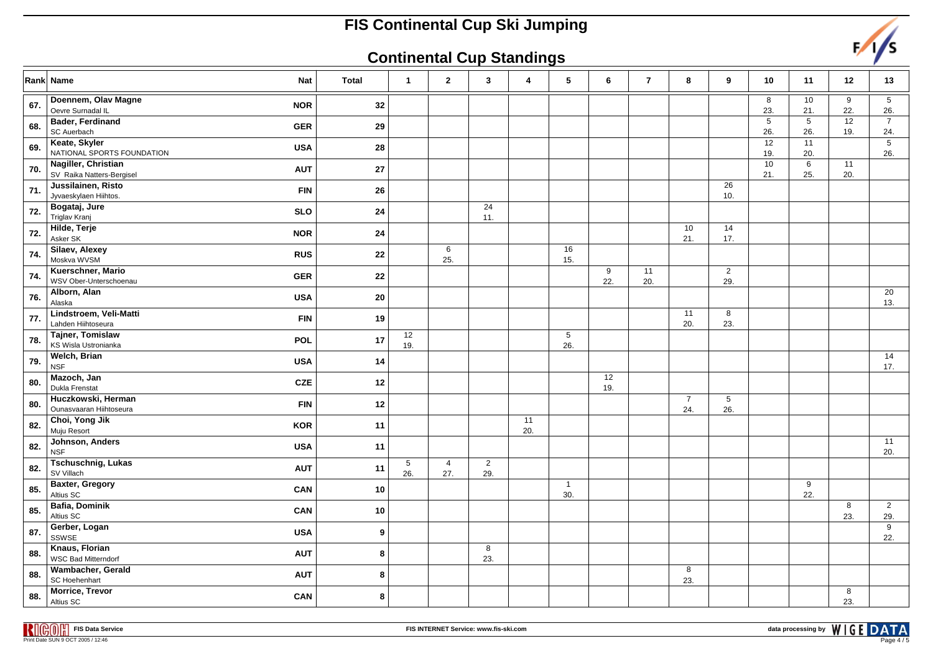### **Continental Cup Standings**



|     | Rank│ Name<br><b>Nat</b>                                       | <b>Total</b> | $\overline{1}$ | $\overline{2}$        | 3                     | 4         | 5                      | 6         | $\overline{7}$ | 8                     | 9                      | 10                     | 11                     | 12        | 13                    |
|-----|----------------------------------------------------------------|--------------|----------------|-----------------------|-----------------------|-----------|------------------------|-----------|----------------|-----------------------|------------------------|------------------------|------------------------|-----------|-----------------------|
| 67. | Doennem, Olav Magne<br><b>NOR</b><br>Oevre Surnadal IL         | 32           |                |                       |                       |           |                        |           |                |                       |                        | 8<br>23.               | 10<br>21.              | 9<br>22.  | 5<br>26.              |
| 68. | <b>Bader, Ferdinand</b><br><b>GER</b><br>SC Auerbach           | 29           |                |                       |                       |           |                        |           |                |                       |                        | 5<br>26.               | $5\phantom{.0}$<br>26. | 12<br>19. | $\overline{7}$<br>24. |
| 69. | Keate, Skyler<br><b>USA</b><br>NATIONAL SPORTS FOUNDATION      | 28           |                |                       |                       |           |                        |           |                |                       |                        | 12<br>19.              | 11<br>20.              |           | 5<br>26.              |
| 70. | Nagiller, Christian<br><b>AUT</b><br>SV Raika Natters-Bergisel | 27           |                |                       |                       |           |                        |           |                |                       |                        | $\overline{10}$<br>21. | $\,6\,$<br>25.         | 11<br>20. |                       |
| 71. | Jussilainen, Risto<br><b>FIN</b><br>Jyvaeskylaen Hiihtos.      | 26           |                |                       |                       |           |                        |           |                |                       | 26<br>10.              |                        |                        |           |                       |
| 72. | Bogataj, Jure<br><b>SLO</b><br>Triglav Kranj                   | ${\bf 24}$   |                |                       | 24<br>11.             |           |                        |           |                |                       |                        |                        |                        |           |                       |
| 72. | Hilde, Terje<br><b>NOR</b><br>Asker SK                         | 24           |                |                       |                       |           |                        |           |                | 10<br>21.             | 14<br>17.              |                        |                        |           |                       |
| 74. | Silaev, Alexey<br><b>RUS</b><br>Moskva WVSM                    | 22           |                | 6<br>25.              |                       |           | 16<br>15.              |           |                |                       |                        |                        |                        |           |                       |
| 74. | Kuerschner, Mario<br><b>GER</b><br>WSV Ober-Unterschoenau      | 22           |                |                       |                       |           |                        | 9<br>22.  | 11<br>20.      |                       | $\overline{2}$<br>29.  |                        |                        |           |                       |
| 76. | Alborn, Alan<br><b>USA</b><br>Alaska                           | 20           |                |                       |                       |           |                        |           |                |                       |                        |                        |                        |           | 20<br>13.             |
| 77. | Lindstroem, Veli-Matti<br><b>FIN</b><br>Lahden Hiihtoseura     | 19           |                |                       |                       |           |                        |           |                | 11<br>20.             | 8<br>23.               |                        |                        |           |                       |
| 78. | Tajner, Tomislaw<br><b>POL</b><br>KS Wisla Ustronianka         | 17           | 12<br>19.      |                       |                       |           | $5\phantom{.0}$<br>26. |           |                |                       |                        |                        |                        |           |                       |
| 79. | <b>Welch, Brian</b><br><b>USA</b><br><b>NSF</b>                | 14           |                |                       |                       |           |                        |           |                |                       |                        |                        |                        |           | 14<br>17.             |
| 80. | Mazoch, Jan<br><b>CZE</b><br>Dukla Frenstat                    | 12           |                |                       |                       |           |                        | 12<br>19. |                |                       |                        |                        |                        |           |                       |
| 80. | Huczkowski, Herman<br><b>FIN</b><br>Ounasvaaran Hiihtoseura    | 12           |                |                       |                       |           |                        |           |                | $\overline{7}$<br>24. | $5\phantom{.0}$<br>26. |                        |                        |           |                       |
| 82. | Choi, Yong Jik<br><b>KOR</b><br>Muju Resort                    | 11           |                |                       |                       | 11<br>20. |                        |           |                |                       |                        |                        |                        |           |                       |
| 82. | Johnson, Anders<br><b>USA</b><br><b>NSF</b>                    | 11           |                |                       |                       |           |                        |           |                |                       |                        |                        |                        |           | 11<br>20.             |
| 82. | <b>Tschuschnig, Lukas</b><br><b>AUT</b><br>SV Villach          | 11           | 5<br>26.       | $\overline{4}$<br>27. | $\overline{2}$<br>29. |           |                        |           |                |                       |                        |                        |                        |           |                       |
| 85. | <b>Baxter, Gregory</b><br>CAN<br>Altius SC                     | 10           |                |                       |                       |           | $\overline{1}$<br>30.  |           |                |                       |                        |                        | 9<br>22.               |           |                       |
| 85. | <b>Bafia, Dominik</b><br>CAN<br>Altius SC                      | 10           |                |                       |                       |           |                        |           |                |                       |                        |                        |                        | 8<br>23.  | $\overline{2}$<br>29. |
| 87. | Gerber, Logan<br><b>USA</b><br>SSWSE                           | 9            |                |                       |                       |           |                        |           |                |                       |                        |                        |                        |           | 9<br>22.              |
| 88. | Knaus, Florian<br><b>AUT</b><br><b>WSC Bad Mitterndorf</b>     | 8            |                |                       | 8<br>23.              |           |                        |           |                |                       |                        |                        |                        |           |                       |
| 88. | Wambacher, Gerald<br><b>AUT</b><br>SC Hoehenhart               | 8            |                |                       |                       |           |                        |           |                | 8<br>23.              |                        |                        |                        |           |                       |
| 88. | <b>Morrice, Trevor</b><br>CAN<br>Altius SC                     | 8            |                |                       |                       |           |                        |           |                |                       |                        |                        |                        | 8<br>23.  |                       |